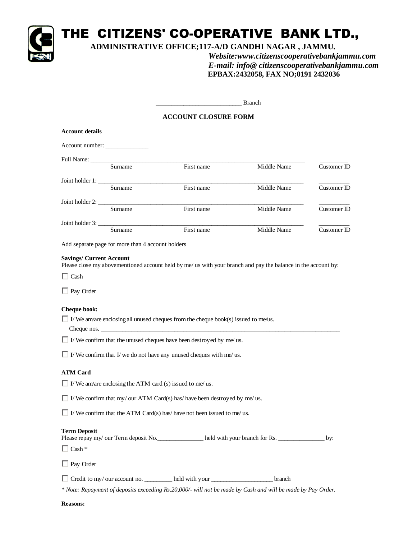

# THE CITIZENS' CO-OPERATIVE BANK LTD.,

## **ADMINISTRATIVE OFFICE;117-A/D GANDHI NAGAR , JAMMU.**

*Website:www.citizenscooperativebankjammu.com E-mail: info@ citizenscooperativebankjammu.com*  **EPBAX:2432058, FAX NO;0191 2432036**

**\_\_\_\_\_\_\_\_\_\_\_\_\_\_\_\_\_\_\_\_\_\_\_\_\_\_\_\_** Branch

### **ACCOUNT CLOSURE FORM**

| <b>Account details</b> |                                                                                                                                                                                                                                  |            |             |             |
|------------------------|----------------------------------------------------------------------------------------------------------------------------------------------------------------------------------------------------------------------------------|------------|-------------|-------------|
|                        | Account number:                                                                                                                                                                                                                  |            |             |             |
|                        | Full Name:                                                                                                                                                                                                                       |            |             |             |
|                        | Surname                                                                                                                                                                                                                          | First name | Middle Name | Customer ID |
|                        | Joint holder 1:                                                                                                                                                                                                                  |            |             |             |
|                        | Surname                                                                                                                                                                                                                          | First name | Middle Name | Customer ID |
| Joint holder 2:        |                                                                                                                                                                                                                                  |            |             |             |
|                        | Surname                                                                                                                                                                                                                          | First name | Middle Name | Customer ID |
|                        | Joint holder 3:                                                                                                                                                                                                                  |            |             |             |
|                        | Surname                                                                                                                                                                                                                          | First name | Middle Name | Customer ID |
|                        | $\mathbf{A}$ and the contract of the contract of the contract of the contract of the contract of the contract of the contract of the contract of the contract of the contract of the contract of the contract of the contract of |            |             |             |

Add separate page for more than 4 account holders

#### **Savings/ Current Account**

Please close my abovementioned account held by me/ us with your branch and pay the balance in the account by:

 $\Box$  Cash

□ Pay Order

#### **Cheque book:**

 $\Box$  I/ We am/are enclosing all unused cheques from the cheque book(s) issued to me/us.

Cheque nos.

 $\Box$  I/We confirm that the unused cheques have been destroyed by me/us.

 $\Box$  I/We confirm that I/we do not have any unused cheques with me/us.

### **ATM Card**

|  | $\Box$ I/We am/are enclosing the ATM card (s) issued to me/us. |  |  |  |  |  |
|--|----------------------------------------------------------------|--|--|--|--|--|
|  |                                                                |  |  |  |  |  |

 $\Box$  I/ We confirm that my/ our ATM Card(s) has/ have been destroyed by me/ us.

 $\Box$  I/ We confirm that the ATM Card(s) has/ have not been issued to me/ us.

#### **Term Deposit**

Please repay my/ our Term deposit No. \_\_\_\_\_\_\_\_\_\_\_\_\_\_\_\_\_\_\_\_\_\_ held with your branch for Rs. \_\_\_\_\_\_\_\_\_\_\_\_\_\_\_\_\_\_\_ by:

 $\Box$  Cash  $*$ 

□ Pay Order

Credit to my/ our account no. \_\_\_\_\_\_\_\_\_ held with your \_\_\_\_\_\_\_\_\_\_\_\_\_\_\_\_\_\_\_\_ branch

*\* Note: Repayment of deposits exceeding Rs.20,000/- will not be made by Cash and will be made by Pay Order.* 

**Reasons:**